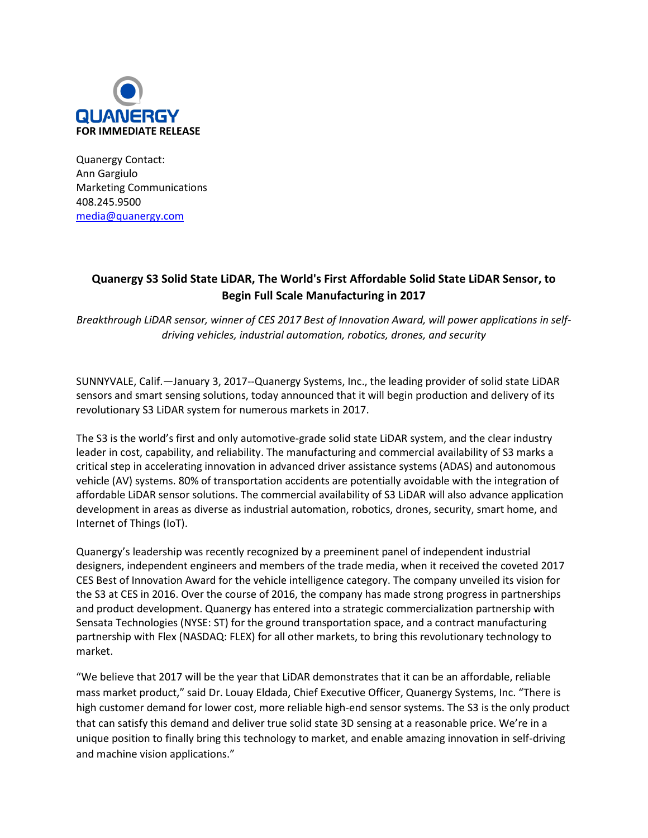

Quanergy Contact: Ann Gargiulo Marketing Communications 408.245.9500 [media@quanergy.com](mailto:media@quanergy.com)

## **Quanergy S3 Solid State LiDAR, The World's First Affordable Solid State LiDAR Sensor, to Begin Full Scale Manufacturing in 2017**

Breakthrough LiDAR sensor, winner of CES 2017 Best of Innovation Award, will power applications in self*driving vehicles, industrial automation, robotics, drones, and security*

SUNNYVALE, Calif.—January 3, 2017--Quanergy Systems, Inc., the leading provider of solid state LiDAR sensors and smart sensing solutions, today announced that it will begin production and delivery of its revolutionary S3 LiDAR system for numerous markets in 2017.

The S3 is the world's first and only automotive-grade solid state LiDAR system, and the clear industry leader in cost, capability, and reliability. The manufacturing and commercial availability of S3 marks a critical step in accelerating innovation in advanced driver assistance systems (ADAS) and autonomous vehicle (AV) systems. 80% of transportation accidents are potentially avoidable with the integration of affordable LiDAR sensor solutions. The commercial availability of S3 LiDAR will also advance application development in areas as diverse as industrial automation, robotics, drones, security, smart home, and Internet of Things (IoT).

Quanergy's leadership was recently recognized by a preeminent panel of independent industrial designers, independent engineers and members of the trade media, when it received the coveted 2017 CES Best of Innovation Award for the vehicle intelligence category. The company unveiled its vision for the S3 at CES in 2016. Over the course of 2016, the company has made strong progress in partnerships and product development. Quanergy has entered into a strategic commercialization partnership with Sensata Technologies (NYSE: ST) for the ground transportation space, and a contract manufacturing partnership with Flex (NASDAQ: FLEX) for all other markets, to bring this revolutionary technology to market.

"We believe that 2017 will be the year that LiDAR demonstrates that it can be an affordable, reliable mass market product," said Dr. Louay Eldada, Chief Executive Officer, Quanergy Systems, Inc. "There is high customer demand for lower cost, more reliable high-end sensor systems. The S3 is the only product that can satisfy this demand and deliver true solid state 3D sensing at a reasonable price. We're in a unique position to finally bring this technology to market, and enable amazing innovation in self-driving and machine vision applications."